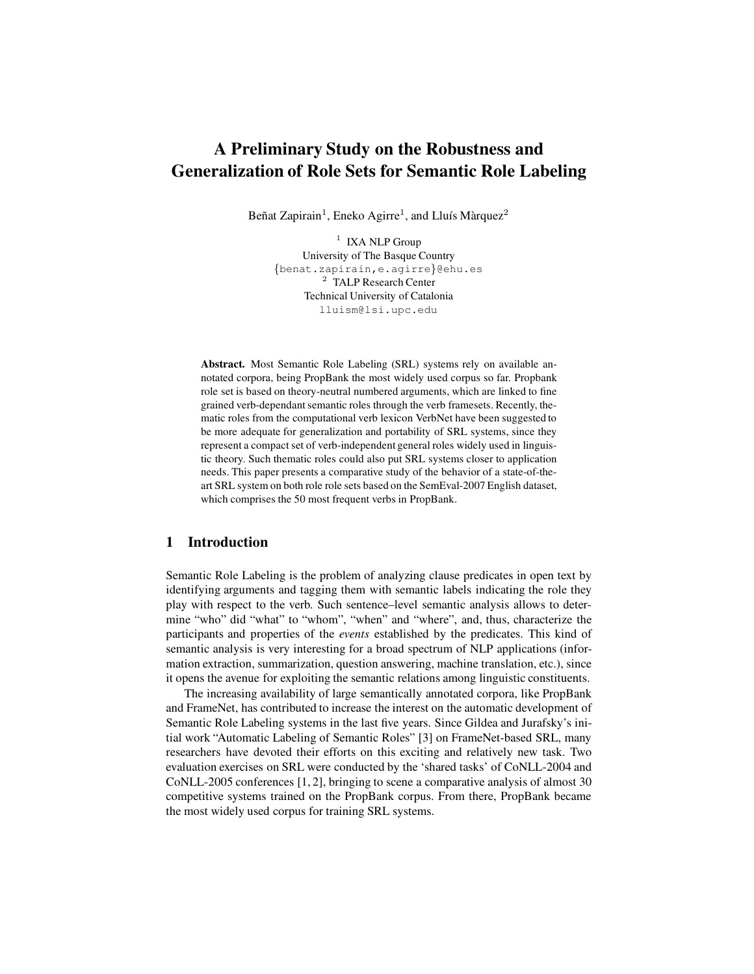# A Preliminary Study on the Robustness and Generalization of Role Sets for Semantic Role Labeling

Beñat Zapirain<sup>1</sup>, Eneko Agirre<sup>1</sup>, and Lluís Màrquez<sup>2</sup>

<sup>1</sup> IXA NLP Group University of The Basque Country {benat.zapirain,e.agirre}@ehu.es <sup>2</sup> TALP Research Center Technical University of Catalonia lluism@lsi.upc.edu

Abstract. Most Semantic Role Labeling (SRL) systems rely on available annotated corpora, being PropBank the most widely used corpus so far. Propbank role set is based on theory-neutral numbered arguments, which are linked to fine grained verb-dependant semantic roles through the verb framesets. Recently, thematic roles from the computational verb lexicon VerbNet have been suggested to be more adequate for generalization and portability of SRL systems, since they represent a compact set of verb-independent general roles widely used in linguistic theory. Such thematic roles could also put SRL systems closer to application needs. This paper presents a comparative study of the behavior of a state-of-theart SRL system on both role role sets based on the SemEval-2007 English dataset, which comprises the 50 most frequent verbs in PropBank.

### 1 Introduction

Semantic Role Labeling is the problem of analyzing clause predicates in open text by identifying arguments and tagging them with semantic labels indicating the role they play with respect to the verb. Such sentence–level semantic analysis allows to determine "who" did "what" to "whom", "when" and "where", and, thus, characterize the participants and properties of the events established by the predicates. This kind of semantic analysis is very interesting for a broad spectrum of NLP applications (information extraction, summarization, question answering, machine translation, etc.), since it opens the avenue for exploiting the semantic relations among linguistic constituents.

The increasing availability of large semantically annotated corpora, like PropBank and FrameNet, has contributed to increase the interest on the automatic development of Semantic Role Labeling systems in the last five years. Since Gildea and Jurafsky's initial work "Automatic Labeling of Semantic Roles" [3] on FrameNet-based SRL, many researchers have devoted their efforts on this exciting and relatively new task. Two evaluation exercises on SRL were conducted by the 'shared tasks' of CoNLL-2004 and CoNLL-2005 conferences [1, 2], bringing to scene a comparative analysis of almost 30 competitive systems trained on the PropBank corpus. From there, PropBank became the most widely used corpus for training SRL systems.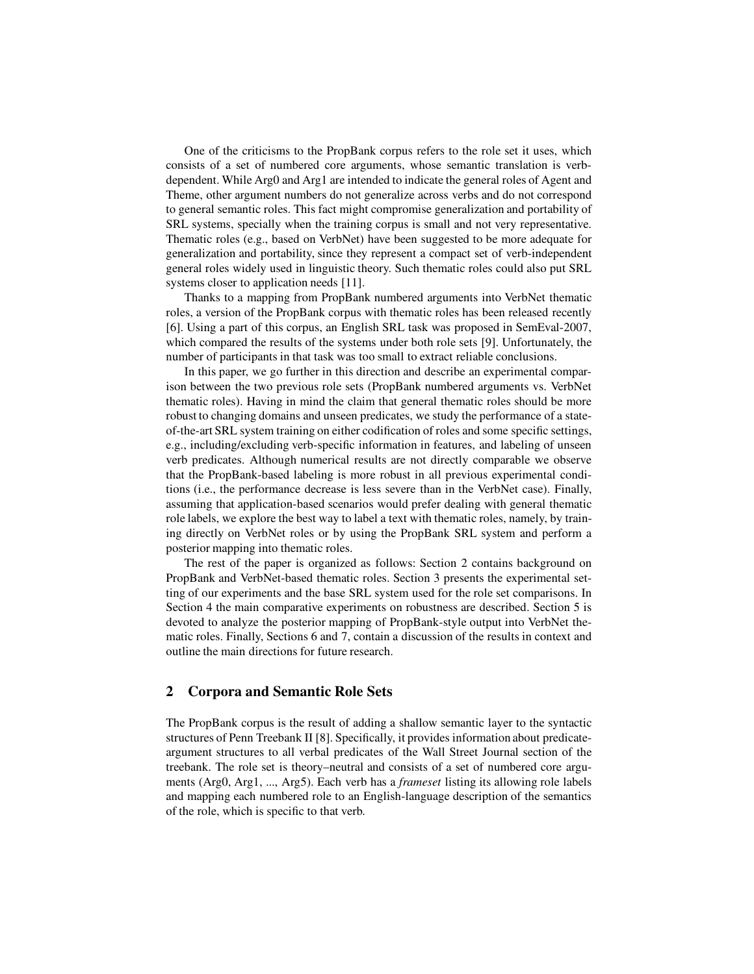One of the criticisms to the PropBank corpus refers to the role set it uses, which consists of a set of numbered core arguments, whose semantic translation is verbdependent. While Arg0 and Arg1 are intended to indicate the general roles of Agent and Theme, other argument numbers do not generalize across verbs and do not correspond to general semantic roles. This fact might compromise generalization and portability of SRL systems, specially when the training corpus is small and not very representative. Thematic roles (e.g., based on VerbNet) have been suggested to be more adequate for generalization and portability, since they represent a compact set of verb-independent general roles widely used in linguistic theory. Such thematic roles could also put SRL systems closer to application needs [11].

Thanks to a mapping from PropBank numbered arguments into VerbNet thematic roles, a version of the PropBank corpus with thematic roles has been released recently [6]. Using a part of this corpus, an English SRL task was proposed in SemEval-2007, which compared the results of the systems under both role sets [9]. Unfortunately, the number of participants in that task was too small to extract reliable conclusions.

In this paper, we go further in this direction and describe an experimental comparison between the two previous role sets (PropBank numbered arguments vs. VerbNet thematic roles). Having in mind the claim that general thematic roles should be more robust to changing domains and unseen predicates, we study the performance of a stateof-the-art SRL system training on either codification of roles and some specific settings, e.g., including/excluding verb-specific information in features, and labeling of unseen verb predicates. Although numerical results are not directly comparable we observe that the PropBank-based labeling is more robust in all previous experimental conditions (i.e., the performance decrease is less severe than in the VerbNet case). Finally, assuming that application-based scenarios would prefer dealing with general thematic role labels, we explore the best way to label a text with thematic roles, namely, by training directly on VerbNet roles or by using the PropBank SRL system and perform a posterior mapping into thematic roles.

The rest of the paper is organized as follows: Section 2 contains background on PropBank and VerbNet-based thematic roles. Section 3 presents the experimental setting of our experiments and the base SRL system used for the role set comparisons. In Section 4 the main comparative experiments on robustness are described. Section 5 is devoted to analyze the posterior mapping of PropBank-style output into VerbNet thematic roles. Finally, Sections 6 and 7, contain a discussion of the results in context and outline the main directions for future research.

### 2 Corpora and Semantic Role Sets

The PropBank corpus is the result of adding a shallow semantic layer to the syntactic structures of Penn Treebank II [8]. Specifically, it provides information about predicateargument structures to all verbal predicates of the Wall Street Journal section of the treebank. The role set is theory–neutral and consists of a set of numbered core arguments (Arg0, Arg1, ..., Arg5). Each verb has a frameset listing its allowing role labels and mapping each numbered role to an English-language description of the semantics of the role, which is specific to that verb.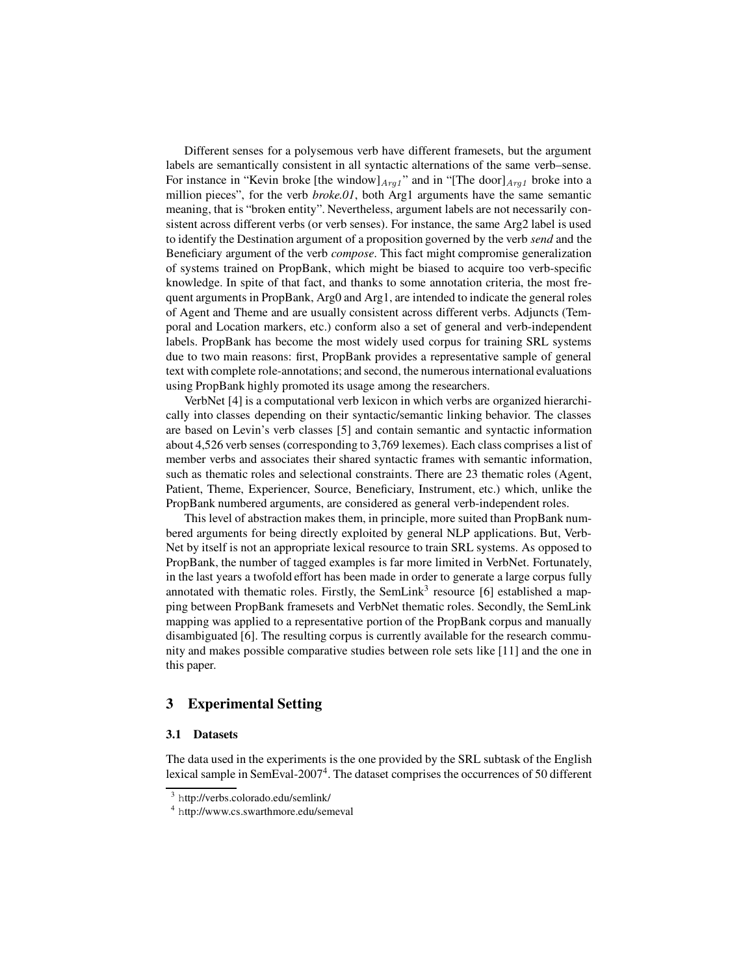Different senses for a polysemous verb have different framesets, but the argument labels are semantically consistent in all syntactic alternations of the same verb–sense. For instance in "Kevin broke [the window] $_{Arg1}$ " and in "[The door] $_{Arg1}$  broke into a million pieces", for the verb *broke.01*, both Arg1 arguments have the same semantic meaning, that is "broken entity". Nevertheless, argument labels are not necessarily consistent across different verbs (or verb senses). For instance, the same Arg2 label is used to identify the Destination argument of a proposition governed by the verb send and the Beneficiary argument of the verb compose. This fact might compromise generalization of systems trained on PropBank, which might be biased to acquire too verb-specific knowledge. In spite of that fact, and thanks to some annotation criteria, the most frequent arguments in PropBank, Arg0 and Arg1, are intended to indicate the general roles of Agent and Theme and are usually consistent across different verbs. Adjuncts (Temporal and Location markers, etc.) conform also a set of general and verb-independent labels. PropBank has become the most widely used corpus for training SRL systems due to two main reasons: first, PropBank provides a representative sample of general text with complete role-annotations; and second, the numerous international evaluations using PropBank highly promoted its usage among the researchers.

VerbNet [4] is a computational verb lexicon in which verbs are organized hierarchically into classes depending on their syntactic/semantic linking behavior. The classes are based on Levin's verb classes [5] and contain semantic and syntactic information about 4,526 verb senses (corresponding to 3,769 lexemes). Each class comprises a list of member verbs and associates their shared syntactic frames with semantic information, such as thematic roles and selectional constraints. There are 23 thematic roles (Agent, Patient, Theme, Experiencer, Source, Beneficiary, Instrument, etc.) which, unlike the PropBank numbered arguments, are considered as general verb-independent roles.

This level of abstraction makes them, in principle, more suited than PropBank numbered arguments for being directly exploited by general NLP applications. But, Verb-Net by itself is not an appropriate lexical resource to train SRL systems. As opposed to PropBank, the number of tagged examples is far more limited in VerbNet. Fortunately, in the last years a twofold effort has been made in order to generate a large corpus fully annotated with thematic roles. Firstly, the SemLink<sup>3</sup> resource [6] established a mapping between PropBank framesets and VerbNet thematic roles. Secondly, the SemLink mapping was applied to a representative portion of the PropBank corpus and manually disambiguated [6]. The resulting corpus is currently available for the research community and makes possible comparative studies between role sets like [11] and the one in this paper.

# 3 Experimental Setting

### 3.1 Datasets

The data used in the experiments is the one provided by the SRL subtask of the English lexical sample in SemEval-2007<sup>4</sup>. The dataset comprises the occurrences of 50 different

<sup>3</sup> http://verbs.colorado.edu/semlink/

<sup>4</sup> http://www.cs.swarthmore.edu/semeval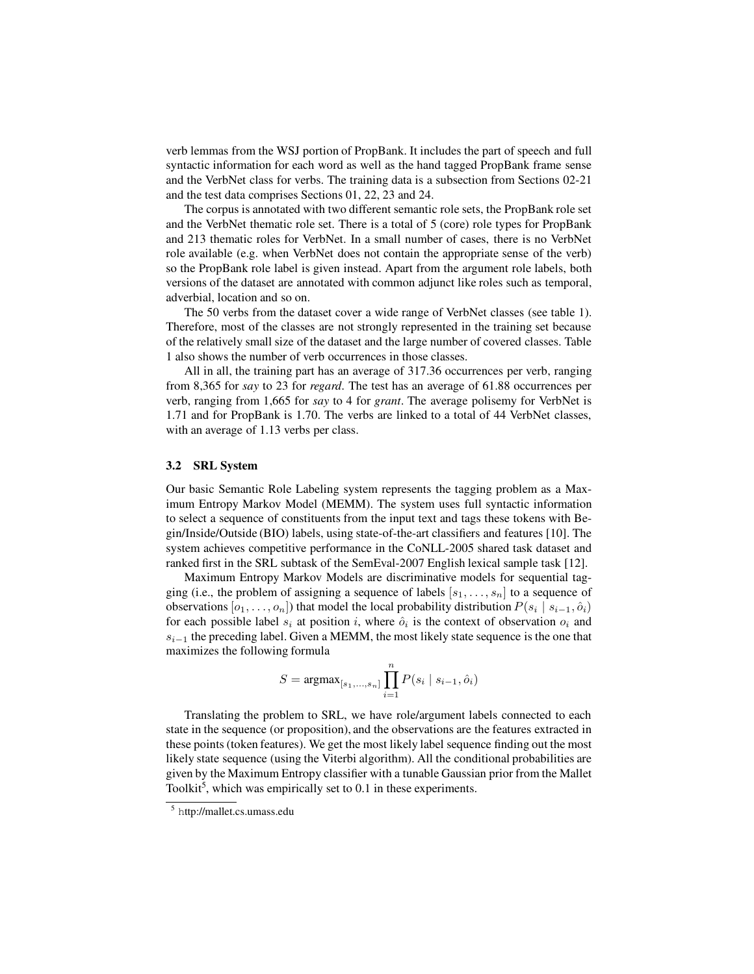verb lemmas from the WSJ portion of PropBank. It includes the part of speech and full syntactic information for each word as well as the hand tagged PropBank frame sense and the VerbNet class for verbs. The training data is a subsection from Sections 02-21 and the test data comprises Sections 01, 22, 23 and 24.

The corpus is annotated with two different semantic role sets, the PropBank role set and the VerbNet thematic role set. There is a total of 5 (core) role types for PropBank and 213 thematic roles for VerbNet. In a small number of cases, there is no VerbNet role available (e.g. when VerbNet does not contain the appropriate sense of the verb) so the PropBank role label is given instead. Apart from the argument role labels, both versions of the dataset are annotated with common adjunct like roles such as temporal, adverbial, location and so on.

The 50 verbs from the dataset cover a wide range of VerbNet classes (see table 1). Therefore, most of the classes are not strongly represented in the training set because of the relatively small size of the dataset and the large number of covered classes. Table 1 also shows the number of verb occurrences in those classes.

All in all, the training part has an average of 317.36 occurrences per verb, ranging from 8,365 for say to 23 for regard. The test has an average of 61.88 occurrences per verb, ranging from 1,665 for say to 4 for grant. The average polisemy for VerbNet is 1.71 and for PropBank is 1.70. The verbs are linked to a total of 44 VerbNet classes, with an average of 1.13 verbs per class.

### 3.2 SRL System

Our basic Semantic Role Labeling system represents the tagging problem as a Maximum Entropy Markov Model (MEMM). The system uses full syntactic information to select a sequence of constituents from the input text and tags these tokens with Begin/Inside/Outside (BIO) labels, using state-of-the-art classifiers and features [10]. The system achieves competitive performance in the CoNLL-2005 shared task dataset and ranked first in the SRL subtask of the SemEval-2007 English lexical sample task [12].

Maximum Entropy Markov Models are discriminative models for sequential tagging (i.e., the problem of assigning a sequence of labels  $[s_1, \ldots, s_n]$  to a sequence of observations  $[o_1, \ldots, o_n]$ ) that model the local probability distribution  $P(s_i \mid s_{i-1}, \hat{o}_i)$ for each possible label  $s_i$  at position i, where  $\hat{o}_i$  is the context of observation  $o_i$  and  $s_{i-1}$  the preceding label. Given a MEMM, the most likely state sequence is the one that maximizes the following formula

$$
S = \text{argmax}_{[s_1, ..., s_n]} \prod_{i=1}^n P(s_i \mid s_{i-1}, \hat{o}_i)
$$

Translating the problem to SRL, we have role/argument labels connected to each state in the sequence (or proposition), and the observations are the features extracted in these points (token features). We get the most likely label sequence finding out the most likely state sequence (using the Viterbi algorithm). All the conditional probabilities are given by the Maximum Entropy classifier with a tunable Gaussian prior from the Mallet Toolkit<sup>5</sup>, which was empirically set to 0.1 in these experiments.

<sup>5</sup> http://mallet.cs.umass.edu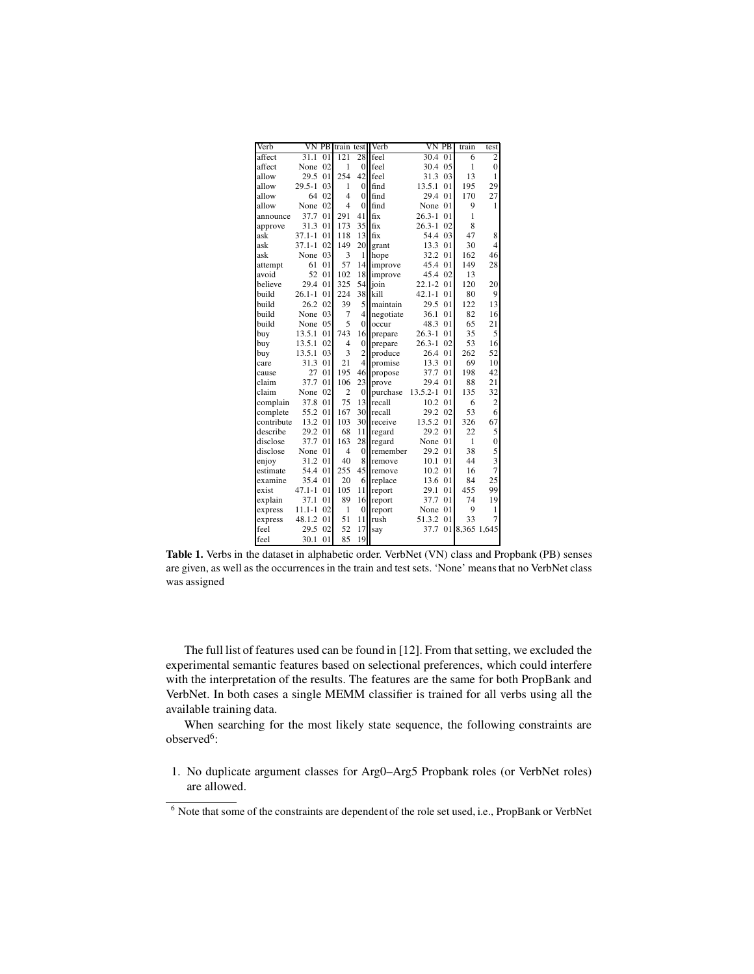| Verb       | VN         | PB | train test     |                          | Verb      | VN           | PB | train        | test           |
|------------|------------|----|----------------|--------------------------|-----------|--------------|----|--------------|----------------|
| affect     | 31.1       | 01 | 121            | 28                       | feel      | 30.4 01      |    | 6            | 2              |
| affect     | None       | 02 | 1              | $\mathbf{0}$             | feel      | 30.4 05      |    | $\mathbf{1}$ | $\overline{0}$ |
| allow      | 29.5       | 01 | 254            | 42                       | feel      | 31.3         | 03 | 13           | 1              |
| allow      | $29.5 - 1$ | 03 | 1              | $\mathbf{0}$             | find      | 13.5.1       | 01 | 195          | 29             |
| allow      | 64         | 02 | $\overline{4}$ | $\theta$                 | find      | 29.4         | 01 | 170          | 27             |
| allow      | None       | 02 | $\overline{4}$ | $\theta$                 | find      | None         | 01 | 9            | 1              |
| announce   | 37.7       | 01 | 291            | 41                       | fix       | $26.3 - 1$   | 01 | 1            |                |
| approve    | 31.3       | 01 | 173            | 35                       | fix       | $26.3 - 1$   | 02 | 8            |                |
| ask        | $37.1 - 1$ | 01 | 118            | 13                       | fix       | 54.4         | 03 | 47           | 8              |
| ask        | $37.1 - 1$ | 02 | 149            | 20                       | grant     | 13.3         | 01 | 30           | $\overline{4}$ |
| ask        | None       | 03 | 3              | $\mathbf{1}$             | hope      | 32.2         | 01 | 162          | 46             |
| attempt    | 61         | 01 | 57             | 14                       | improve   | 45.4         | 01 | 149          | 28             |
| avoid      | 52         | 01 | 102            | 18                       | improve   | 45.4         | 02 | 13           |                |
| believe    | 29.4       | 01 | 325            | 54                       | join      | $22.1 - 2$   | 01 | 120          | 20             |
| build      | $26.1 - 1$ | 01 | 224            | 38                       | kill      | $42.1 - 1$   | 01 | 80           | 9              |
| build      | 26.2       | 02 | 39             | 5                        | maintain  | 29.5         | 01 | 122          | 13             |
| build      | None       | 03 | 7              | $\overline{4}$           | negotiate | 36.1         | 01 | 82           | 16             |
| build      | None       | 05 | 5              | $\theta$                 | occur     | 48.3         | 01 | 65           | 21             |
| buy        | 13.5.1     | 01 | 743            | 16                       | prepare   | $26.3 - 1$   | 01 | 35           | 5              |
| buy        | 13.5.1     | 02 | $\overline{4}$ | $\overline{0}$           | prepare   | $26.3 - 1$   | 02 | 53           | 16             |
| buy        | 13.5.1     | 03 | $\overline{3}$ | $\overline{c}$           | produce   | 26.4         | 01 | 262          | 52             |
| care       | 31.3       | 01 | 21             | $\overline{\mathcal{L}}$ | promise   | 13.3         | 01 | 69           | 10             |
| cause      | 27         | 01 | 195            | 46                       | propose   | 37.7         | 01 | 198          | 42             |
| claim      | 37.7       | 01 | 106            | 23                       | prove     | 29.4         | 01 | 88           | 21             |
| claim      | None       | 02 | $\overline{c}$ | $\overline{0}$           | purchase  | $13.5.2 - 1$ | 01 | 135          | 32             |
| complain   | 37.8       | 01 | 75             | 13                       | recall    | 10.2         | 01 | 6            | $\overline{2}$ |
| complete   | 55.2       | 01 | 167            | 30                       | recall    | 29.2         | 02 | 53           | 6              |
| contribute | 13.2       | 01 | 103            | 30                       | receive   | 13.5.2       | 01 | 326          | 67             |
| describe   | 29.2       | 01 | 68             | 11                       | regard    | 29.2         | 01 | 22           | 5              |
| disclose   | 37.7       | 01 | 163            | 28                       | regard    | None         | 01 | $\mathbf{1}$ | $\overline{0}$ |
| disclose   | None       | 01 | $\overline{4}$ | $\overline{0}$           | remember  | 29.2         | 01 | 38           | 5              |
| enjoy      | 31.2       | 01 | 40             | 8                        | remove    | 10.1         | 01 | 44           | $\overline{3}$ |
| estimate   | 54.4       | 01 | 255            | 45                       | remove    | 10.2         | 01 | 16           | $\overline{7}$ |
| examine    | 35.4       | 01 | 20             | 6                        | replace   | 13.6         | 01 | 84           | 25             |
| exist      | $47.1 - 1$ | 01 | 105            | 11                       | report    | 29.1         | 01 | 455          | 99             |
| explain    | 37.1       | 01 | 89             | 16                       | report    | 37.7         | 01 | 74           | 19             |
| express    | $11.1 - 1$ | 02 | 1              | $\mathbf{0}$             | report    | None         | 01 | 9            | 1              |
| express    | 48.1.2     | 01 | 51             | 11                       | rush      | 51.3.2       | 01 | 33           | 7              |
| feel       | 29.5       | 02 | 52             | 17                       | say       | 37.7         | 01 | 8,365 1,645  |                |
| feel       | 30.1       | 01 | 85             | 19                       |           |              |    |              |                |

Table 1. Verbs in the dataset in alphabetic order. VerbNet (VN) class and Propbank (PB) senses are given, as well as the occurrences in the train and test sets. 'None' means that no VerbNet class was assigned

The full list of features used can be found in [12]. From that setting, we excluded the experimental semantic features based on selectional preferences, which could interfere with the interpretation of the results. The features are the same for both PropBank and VerbNet. In both cases a single MEMM classifier is trained for all verbs using all the available training data.

When searching for the most likely state sequence, the following constraints are observed<sup>6</sup>:

- 1. No duplicate argument classes for Arg0–Arg5 Propbank roles (or VerbNet roles) are allowed.
- $6$  Note that some of the constraints are dependent of the role set used, i.e., PropBank or VerbNet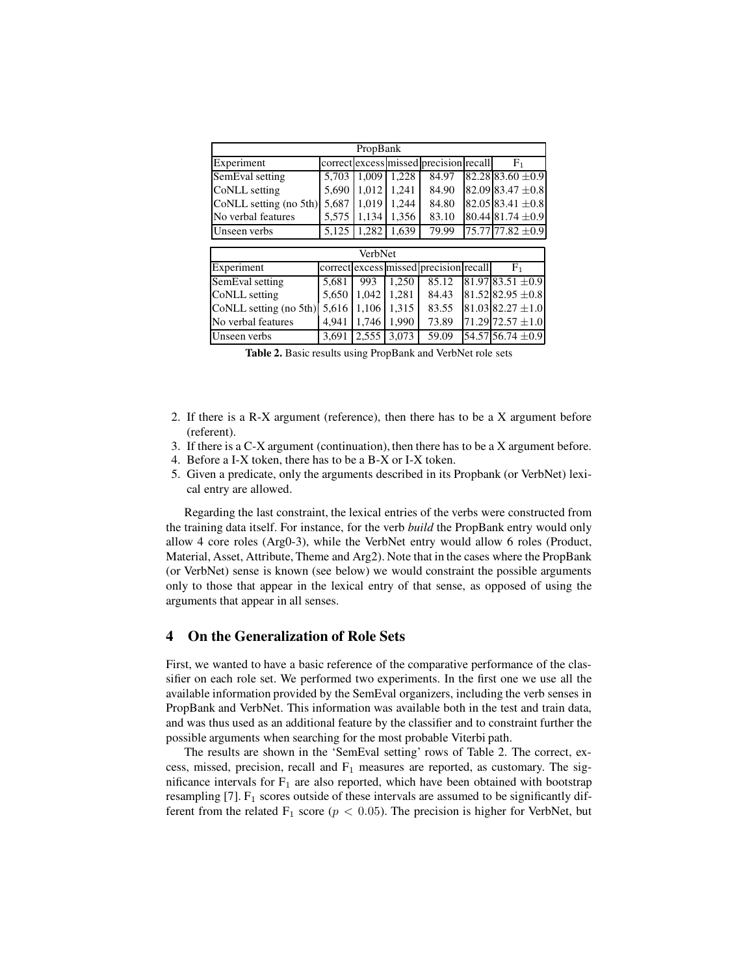| PropBank               |       |       |                    |                                        |  |                           |  |  |  |  |
|------------------------|-------|-------|--------------------|----------------------------------------|--|---------------------------|--|--|--|--|
| Experiment             |       |       |                    | correct excess missed precision recall |  | F <sub>1</sub>            |  |  |  |  |
| SemEval setting        | 5.703 | 1.009 | $\overline{1,228}$ | 84.97                                  |  | 82.28 83.60 $\pm$ 0.9     |  |  |  |  |
| CoNLL setting          | 5,690 | 1,012 | 1,241              | 84.90                                  |  | $82.09$ $83.47 \pm 0.8$   |  |  |  |  |
| CoNLL setting (no 5th) | 5,687 | 1.019 | 1,244              | 84.80                                  |  | $82.05$ 83.41 $\pm$ 0.8   |  |  |  |  |
| No verbal features     | 5,575 | 1,134 | 1,356              | 83.10                                  |  | $80.44$ 81.74 $\pm 0.9$   |  |  |  |  |
| Unseen verbs           | 5,125 | 1,282 | 1,639              | 79.99                                  |  | 75.77 77.82 ± 0.9         |  |  |  |  |
|                        |       |       |                    |                                        |  |                           |  |  |  |  |
| VerbNet                |       |       |                    |                                        |  |                           |  |  |  |  |
| Experiment             |       |       |                    | correct excess missed precision recall |  | $F_1$                     |  |  |  |  |
| SemEval setting        | 5,681 | 993   | 1,250              | 85.12                                  |  | $ 81.97 83.51 \pm 0.9 $   |  |  |  |  |
| CoNLL setting          | 5,650 | 1,042 | 1,281              | 84.43                                  |  | $81.52$ 82.95 $\pm$ 0.8   |  |  |  |  |
| CoNLL setting (no 5th) | 5,616 | 1,106 | 1,315              | 83.55                                  |  | $81.03$ $82.27 \pm 1.0$   |  |  |  |  |
| No verbal features     | 4,941 | 1,746 | 1,990              | 73.89                                  |  | $71.29$ 72.57 $\pm 1.0$   |  |  |  |  |
| Unseen verbs           | 3.691 | 2,555 | 3.073              | 59.09                                  |  | $54.57$ [56.74 $\pm$ 0.9] |  |  |  |  |

Table 2. Basic results using PropBank and VerbNet role sets

- 2. If there is a R-X argument (reference), then there has to be a X argument before (referent).
- 3. If there is a C-X argument (continuation), then there has to be a X argument before.
- 4. Before a I-X token, there has to be a B-X or I-X token.
- 5. Given a predicate, only the arguments described in its Propbank (or VerbNet) lexical entry are allowed.

Regarding the last constraint, the lexical entries of the verbs were constructed from the training data itself. For instance, for the verb build the PropBank entry would only allow 4 core roles (Arg0-3), while the VerbNet entry would allow 6 roles (Product, Material, Asset, Attribute, Theme and Arg2). Note that in the cases where the PropBank (or VerbNet) sense is known (see below) we would constraint the possible arguments only to those that appear in the lexical entry of that sense, as opposed of using the arguments that appear in all senses.

### 4 On the Generalization of Role Sets

First, we wanted to have a basic reference of the comparative performance of the classifier on each role set. We performed two experiments. In the first one we use all the available information provided by the SemEval organizers, including the verb senses in PropBank and VerbNet. This information was available both in the test and train data, and was thus used as an additional feature by the classifier and to constraint further the possible arguments when searching for the most probable Viterbi path.

The results are shown in the 'SemEval setting' rows of Table 2. The correct, excess, missed, precision, recall and  $F_1$  measures are reported, as customary. The significance intervals for  $F_1$  are also reported, which have been obtained with bootstrap resampling  $[7]$ .  $F_1$  scores outside of these intervals are assumed to be significantly different from the related  $F_1$  score ( $p < 0.05$ ). The precision is higher for VerbNet, but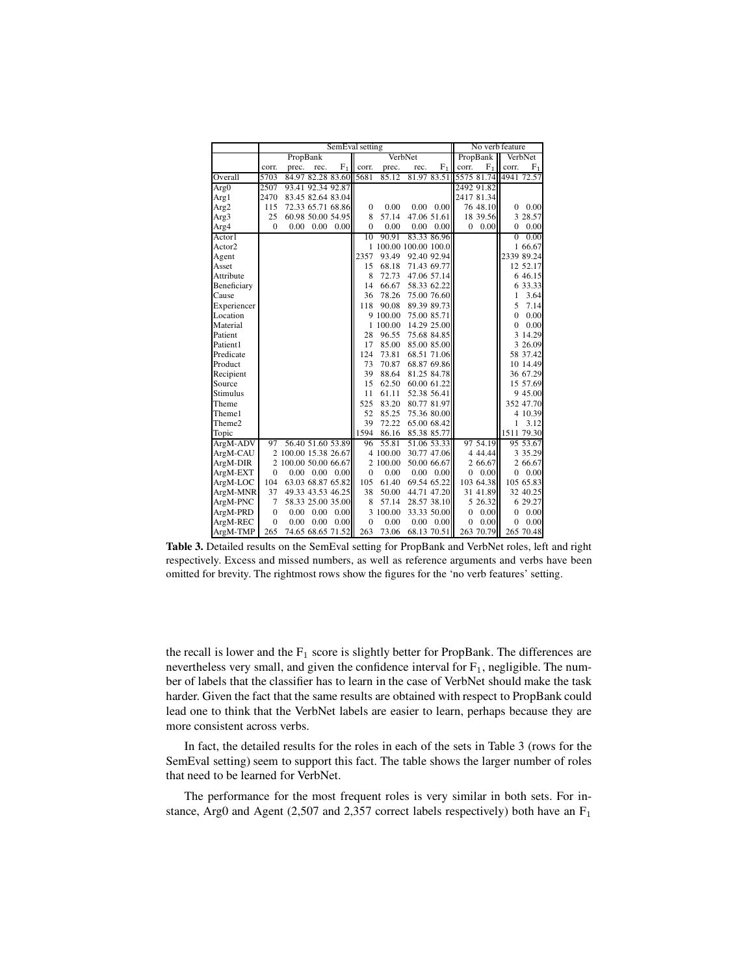|                  |                |                      | SemEval setting   |                        |                |                       |             |              | No verb feature  |                |                |            |  |
|------------------|----------------|----------------------|-------------------|------------------------|----------------|-----------------------|-------------|--------------|------------------|----------------|----------------|------------|--|
|                  | PropBank       |                      |                   |                        |                | VerbNet               |             |              |                  | PropBank       |                | VerbNet    |  |
|                  | corr.          | prec.                | rec.              | $F_1$                  | corr.          | prec.                 | rec.        | $\rm{F}_{1}$ | corr.            | F <sub>1</sub> | corr.          | $F_1$      |  |
| Overall          | 5703           |                      |                   | 84.97 82.28 83.60 5681 |                | 85.12                 |             | 81.97 83.51  |                  | 5575 81.74     |                | 4941 72.57 |  |
| Arg <sub>0</sub> | 2507           |                      | 93.41 92.34 92.87 |                        |                |                       |             |              |                  | 2492 91.82     |                |            |  |
| Arg1             | 2470           |                      |                   | 83.45 82.64 83.04      |                |                       |             |              |                  | 2417 81.34     |                |            |  |
| Arg <sub>2</sub> | 115            |                      |                   | 72.33 65.71 68.86      | $\mathbf{0}$   | 0.00                  | 0.00        | 0.00         |                  | 76 48.10       | 0              | 0.00       |  |
| Arg <sub>3</sub> | 25             |                      | 60.98 50.00 54.95 |                        | 8              | 57.14                 | 47.06 51.61 |              |                  | 18 39.56       |                | 3 28.57    |  |
| Arg4             | $\Omega$       | 0.00                 | 0.00              | 0.00                   | $\overline{0}$ | 0.00                  | 0.00        | 0.00         | $\overline{0}$   | 0.00           | 0              | 0.00       |  |
| Actor1           |                |                      |                   |                        | 10             | 90.91                 |             | 83.33 86.96  |                  |                | $\overline{0}$ | 0.00       |  |
| Actor2           |                |                      |                   |                        |                | 1 100.00 100.00 100.0 |             |              |                  |                |                | 1 66.67    |  |
| Agent            |                |                      |                   |                        | 2357           | 93.49                 |             | 92.40 92.94  |                  |                |                | 2339 89.24 |  |
| Asset            |                |                      |                   |                        | 15             | 68.18                 |             | 71.43 69.77  |                  |                |                | 12 52.17   |  |
| Attribute        |                |                      |                   |                        | 8              | 72.73                 |             | 47.06 57.14  |                  |                |                | 6 46.15    |  |
| Beneficiary      |                |                      |                   |                        | 14             | 66.67                 |             | 58.33 62.22  |                  |                |                | 6 33.33    |  |
| Cause            |                |                      |                   |                        | 36             | 78.26                 |             | 75.00 76.60  |                  |                | 1              | 3.64       |  |
| Experiencer      |                |                      |                   |                        | 118            | 90.08                 |             | 89.39 89.73  |                  |                | 5              | 7.14       |  |
| Location         |                |                      |                   |                        |                | 9 100.00              | 75.00 85.71 |              |                  |                | $\Omega$       | 0.00       |  |
| Material         |                |                      |                   |                        |                | 1 100.00              |             | 14.29 25.00  |                  |                | $\Omega$       | 0.00       |  |
| Patient          |                |                      |                   |                        | 28             | 96.55                 |             | 75.68 84.85  |                  |                |                | 3 14.29    |  |
| Patient1         |                |                      |                   |                        | 17             | 85.00                 |             | 85.00 85.00  |                  |                |                | 3 26.09    |  |
| Predicate        |                |                      |                   |                        | 124            | 73.81                 |             | 68.51 71.06  |                  |                |                | 58 37.42   |  |
| Product          |                |                      |                   |                        | 73             | 70.87                 |             | 68.87 69.86  |                  |                |                | 10 14.49   |  |
| Recipient        |                |                      |                   |                        | 39             | 88.64                 |             | 81.25 84.78  |                  |                |                | 36 67.29   |  |
| Source           |                |                      |                   |                        | 15             | 62.50                 |             | 60.00 61.22  |                  |                |                | 15 57.69   |  |
| Stimulus         |                |                      |                   |                        | 11             | 61.11                 | 52.38 56.41 |              |                  |                |                | 9 45.00    |  |
| Theme            |                |                      |                   |                        | 525            | 83.20                 |             | 80.77 81.97  |                  |                |                | 352 47.70  |  |
| Theme1           |                |                      |                   |                        | 52             | 85.25                 |             | 75.36 80.00  |                  |                |                | 4 10.39    |  |
| Theme2           |                |                      |                   |                        | 39             | 72.22                 |             | 65.00 68.42  |                  |                | 1              | 3.12       |  |
| Topic            |                |                      |                   |                        | 1594           | 86.16                 |             | 85.38 85.77  |                  |                |                | 1511 79.30 |  |
| ArgM-ADV         | 97             |                      | 56.40 51.60 53.89 |                        | 96             | 55.81                 |             | 51.06 53.33  |                  | 97 54.19       |                | 95 53.67   |  |
| ArgM-CAU         |                | 2 100.00 15.38 26.67 |                   |                        |                | 4 100.00              |             | 30.77 47.06  |                  | 4 44.44        |                | 3 35.29    |  |
| ArgM-DIR         |                | 2 100.00 50.00 66.67 |                   |                        |                | 2 100.00              |             | 50.00 66.67  |                  | 2 66.67        |                | 2 66.67    |  |
| ArgM-EXT         | $\Omega$       | 0.00                 | 0.00              | 0.00                   | $\theta$       | 0.00                  |             | $0.00\ 0.00$ | $\overline{0}$   | 0.00           | $\mathbf{0}$   | 0.00       |  |
| ArgM-LOC         | 104            |                      | 63.03 68.87 65.82 |                        | 105            | 61.40                 |             | 69.54 65.22  |                  | 103 64.38      |                | 105 65.83  |  |
| ArgM-MNR         | 37             |                      | 49.33 43.53 46.25 |                        | 38             | 50.00                 |             | 44.71 47.20  |                  | 31 41.89       |                | 32 40.25   |  |
| ArgM-PNC         | $\overline{7}$ |                      |                   | 58.33 25.00 35.00      | 8              | 57.14                 |             | 28.57 38.10  |                  | 5 26.32        |                | 6 29.27    |  |
| ArgM-PRD         | $\overline{0}$ | 0.00                 | 0.00              | 0.00                   | 3              | 100.00                |             | 33.33 50.00  | $\boldsymbol{0}$ | 0.00           | $\mathbf{0}$   | 0.00       |  |
| ArgM-REC         | $\overline{0}$ | 0.00                 | 0.00              | 0.00                   | $\overline{0}$ | 0.00                  | 0.00        | 0.00         | $\mathbf{0}$     | 0.00           | $\theta$       | 0.00       |  |
| ArgM-TMP         | 265            |                      |                   | 74.65 68.65 71.52      | 263            | 73.06                 |             | 68.13 70.51  |                  | 263 70.79      |                | 265 70.48  |  |

Table 3. Detailed results on the SemEval setting for PropBank and VerbNet roles, left and right respectively. Excess and missed numbers, as well as reference arguments and verbs have been omitted for brevity. The rightmost rows show the figures for the 'no verb features' setting.

the recall is lower and the  $F_1$  score is slightly better for PropBank. The differences are nevertheless very small, and given the confidence interval for  $F_1$ , negligible. The number of labels that the classifier has to learn in the case of VerbNet should make the task harder. Given the fact that the same results are obtained with respect to PropBank could lead one to think that the VerbNet labels are easier to learn, perhaps because they are more consistent across verbs.

In fact, the detailed results for the roles in each of the sets in Table 3 (rows for the SemEval setting) seem to support this fact. The table shows the larger number of roles that need to be learned for VerbNet.

The performance for the most frequent roles is very similar in both sets. For instance, Arg0 and Agent (2,507 and 2,357 correct labels respectively) both have an  $F_1$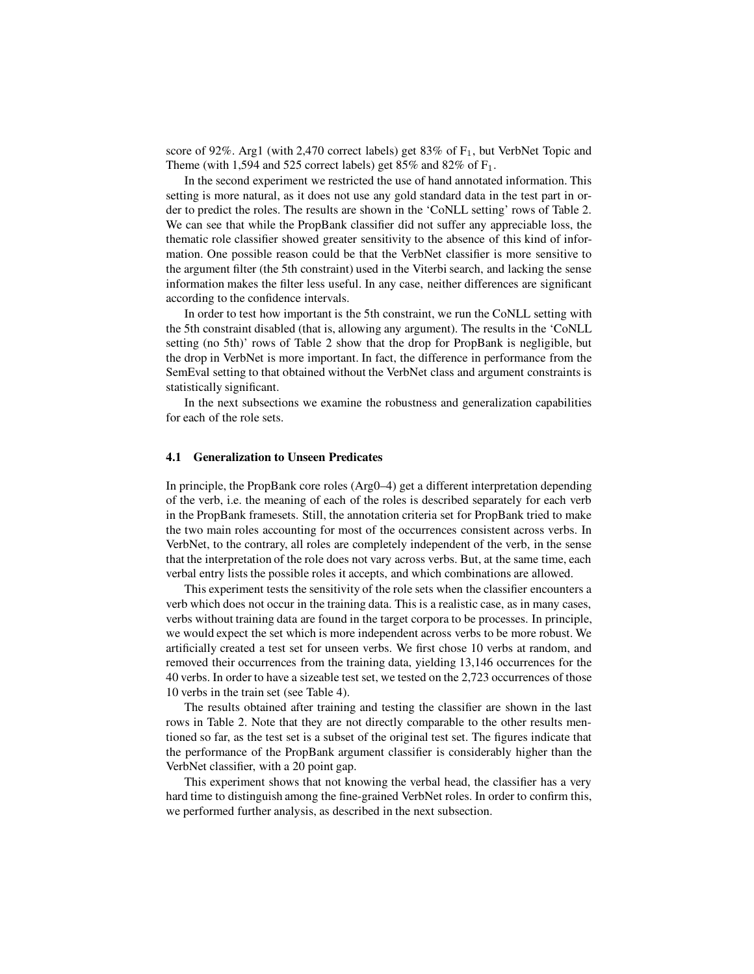score of 92%. Arg1 (with 2,470 correct labels) get 83% of  $F_1$ , but VerbNet Topic and Theme (with 1,594 and 525 correct labels) get 85% and 82% of  $F_1$ .

In the second experiment we restricted the use of hand annotated information. This setting is more natural, as it does not use any gold standard data in the test part in order to predict the roles. The results are shown in the 'CoNLL setting' rows of Table 2. We can see that while the PropBank classifier did not suffer any appreciable loss, the thematic role classifier showed greater sensitivity to the absence of this kind of information. One possible reason could be that the VerbNet classifier is more sensitive to the argument filter (the 5th constraint) used in the Viterbi search, and lacking the sense information makes the filter less useful. In any case, neither differences are significant according to the confidence intervals.

In order to test how important is the 5th constraint, we run the CoNLL setting with the 5th constraint disabled (that is, allowing any argument). The results in the 'CoNLL setting (no 5th)' rows of Table 2 show that the drop for PropBank is negligible, but the drop in VerbNet is more important. In fact, the difference in performance from the SemEval setting to that obtained without the VerbNet class and argument constraints is statistically significant.

In the next subsections we examine the robustness and generalization capabilities for each of the role sets.

#### 4.1 Generalization to Unseen Predicates

In principle, the PropBank core roles (Arg0–4) get a different interpretation depending of the verb, i.e. the meaning of each of the roles is described separately for each verb in the PropBank framesets. Still, the annotation criteria set for PropBank tried to make the two main roles accounting for most of the occurrences consistent across verbs. In VerbNet, to the contrary, all roles are completely independent of the verb, in the sense that the interpretation of the role does not vary across verbs. But, at the same time, each verbal entry lists the possible roles it accepts, and which combinations are allowed.

This experiment tests the sensitivity of the role sets when the classifier encounters a verb which does not occur in the training data. This is a realistic case, as in many cases, verbs without training data are found in the target corpora to be processes. In principle, we would expect the set which is more independent across verbs to be more robust. We artificially created a test set for unseen verbs. We first chose 10 verbs at random, and removed their occurrences from the training data, yielding 13,146 occurrences for the 40 verbs. In order to have a sizeable test set, we tested on the 2,723 occurrences of those 10 verbs in the train set (see Table 4).

The results obtained after training and testing the classifier are shown in the last rows in Table 2. Note that they are not directly comparable to the other results mentioned so far, as the test set is a subset of the original test set. The figures indicate that the performance of the PropBank argument classifier is considerably higher than the VerbNet classifier, with a 20 point gap.

This experiment shows that not knowing the verbal head, the classifier has a very hard time to distinguish among the fine-grained VerbNet roles. In order to confirm this, we performed further analysis, as described in the next subsection.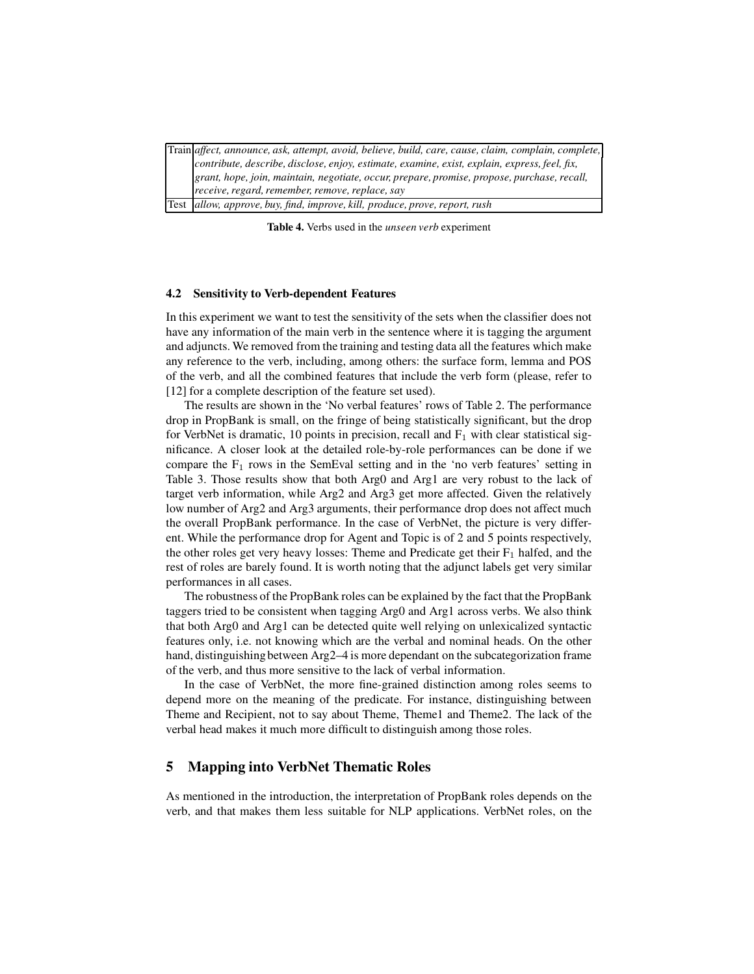| Train affect, announce, ask, attempt, avoid, believe, build, care, cause, claim, complain, complete, |
|------------------------------------------------------------------------------------------------------|
| contribute, describe, disclose, enjoy, estimate, examine, exist, explain, express, feel, fix,        |
| grant, hope, join, maintain, negotiate, occur, prepare, promise, propose, purchase, recall,          |
| receive, regard, remember, remove, replace, say                                                      |
| Test   allow, approve, buy, find, improve, kill, produce, prove, report, rush                        |

Table 4. Verbs used in the *unseen verb* experiment

#### 4.2 Sensitivity to Verb-dependent Features

In this experiment we want to test the sensitivity of the sets when the classifier does not have any information of the main verb in the sentence where it is tagging the argument and adjuncts. We removed from the training and testing data all the features which make any reference to the verb, including, among others: the surface form, lemma and POS of the verb, and all the combined features that include the verb form (please, refer to [12] for a complete description of the feature set used).

The results are shown in the 'No verbal features' rows of Table 2. The performance drop in PropBank is small, on the fringe of being statistically significant, but the drop for VerbNet is dramatic, 10 points in precision, recall and  $F_1$  with clear statistical significance. A closer look at the detailed role-by-role performances can be done if we compare the  $F_1$  rows in the SemEval setting and in the 'no verb features' setting in Table 3. Those results show that both Arg0 and Arg1 are very robust to the lack of target verb information, while Arg2 and Arg3 get more affected. Given the relatively low number of Arg2 and Arg3 arguments, their performance drop does not affect much the overall PropBank performance. In the case of VerbNet, the picture is very different. While the performance drop for Agent and Topic is of 2 and 5 points respectively, the other roles get very heavy losses: Theme and Predicate get their  $F_1$  halfed, and the rest of roles are barely found. It is worth noting that the adjunct labels get very similar performances in all cases.

The robustness of the PropBank roles can be explained by the fact that the PropBank taggers tried to be consistent when tagging Arg0 and Arg1 across verbs. We also think that both Arg0 and Arg1 can be detected quite well relying on unlexicalized syntactic features only, i.e. not knowing which are the verbal and nominal heads. On the other hand, distinguishing between Arg2–4 is more dependant on the subcategorization frame of the verb, and thus more sensitive to the lack of verbal information.

In the case of VerbNet, the more fine-grained distinction among roles seems to depend more on the meaning of the predicate. For instance, distinguishing between Theme and Recipient, not to say about Theme, Theme1 and Theme2. The lack of the verbal head makes it much more difficult to distinguish among those roles.

## 5 Mapping into VerbNet Thematic Roles

As mentioned in the introduction, the interpretation of PropBank roles depends on the verb, and that makes them less suitable for NLP applications. VerbNet roles, on the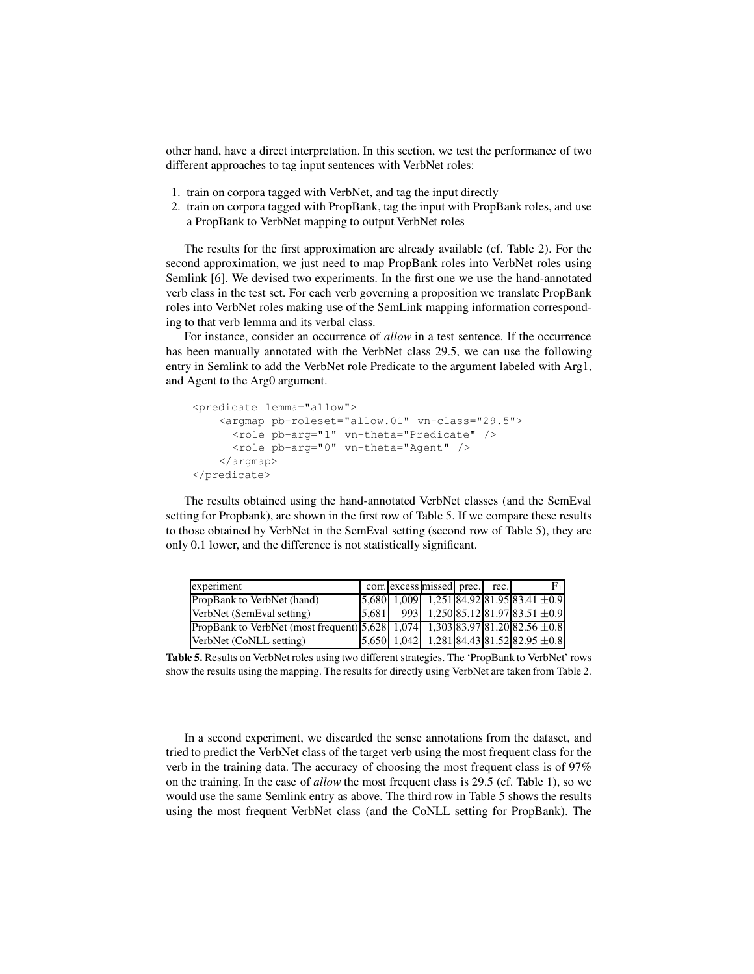other hand, have a direct interpretation. In this section, we test the performance of two different approaches to tag input sentences with VerbNet roles:

- 1. train on corpora tagged with VerbNet, and tag the input directly
- 2. train on corpora tagged with PropBank, tag the input with PropBank roles, and use a PropBank to VerbNet mapping to output VerbNet roles

The results for the first approximation are already available (cf. Table 2). For the second approximation, we just need to map PropBank roles into VerbNet roles using Semlink [6]. We devised two experiments. In the first one we use the hand-annotated verb class in the test set. For each verb governing a proposition we translate PropBank roles into VerbNet roles making use of the SemLink mapping information corresponding to that verb lemma and its verbal class.

For instance, consider an occurrence of *allow* in a test sentence. If the occurrence has been manually annotated with the VerbNet class 29.5, we can use the following entry in Semlink to add the VerbNet role Predicate to the argument labeled with Arg1, and Agent to the Arg0 argument.

```
<predicate lemma="allow">
    <argmap pb-roleset="allow.01" vn-class="29.5">
      <role pb-arg="1" vn-theta="Predicate" />
      <role pb-arg="0" vn-theta="Agent" />
    </argmap>
</predicate>
```
The results obtained using the hand-annotated VerbNet classes (and the SemEval setting for Propbank), are shown in the first row of Table 5. If we compare these results to those obtained by VerbNet in the SemEval setting (second row of Table 5), they are only 0.1 lower, and the difference is not statistically significant.

| experiment                                                                          |  | corr. excess missed prec. rec. |  | F <sub>1</sub>                                                                        |
|-------------------------------------------------------------------------------------|--|--------------------------------|--|---------------------------------------------------------------------------------------|
| PropBank to VerbNet (hand)                                                          |  |                                |  | $5,680$ 1,009 1,251 84.92 81.95 83.41 ± 0.9                                           |
| VerbNet (SemEval setting)                                                           |  |                                |  | $\begin{bmatrix} 5,681 & 993 & 1,250 & 85.12 & 81.97 & 83.51 & \pm 0.9 \end{bmatrix}$ |
| PropBank to VerbNet (most frequent) $5,628$ 1,074 1,303 83.97 81.20 82.56 $\pm$ 0.8 |  |                                |  |                                                                                       |
| VerbNet (CoNLL setting)                                                             |  |                                |  | $5,650$ 1,042 1,281 84.43 81.52 82.95 $\pm$ 0.8                                       |

Table 5. Results on VerbNet roles using two different strategies. The 'PropBank to VerbNet' rows show the results using the mapping. The results for directly using VerbNet are taken from Table 2.

In a second experiment, we discarded the sense annotations from the dataset, and tried to predict the VerbNet class of the target verb using the most frequent class for the verb in the training data. The accuracy of choosing the most frequent class is of 97% on the training. In the case of allow the most frequent class is 29.5 (cf. Table 1), so we would use the same Semlink entry as above. The third row in Table 5 shows the results using the most frequent VerbNet class (and the CoNLL setting for PropBank). The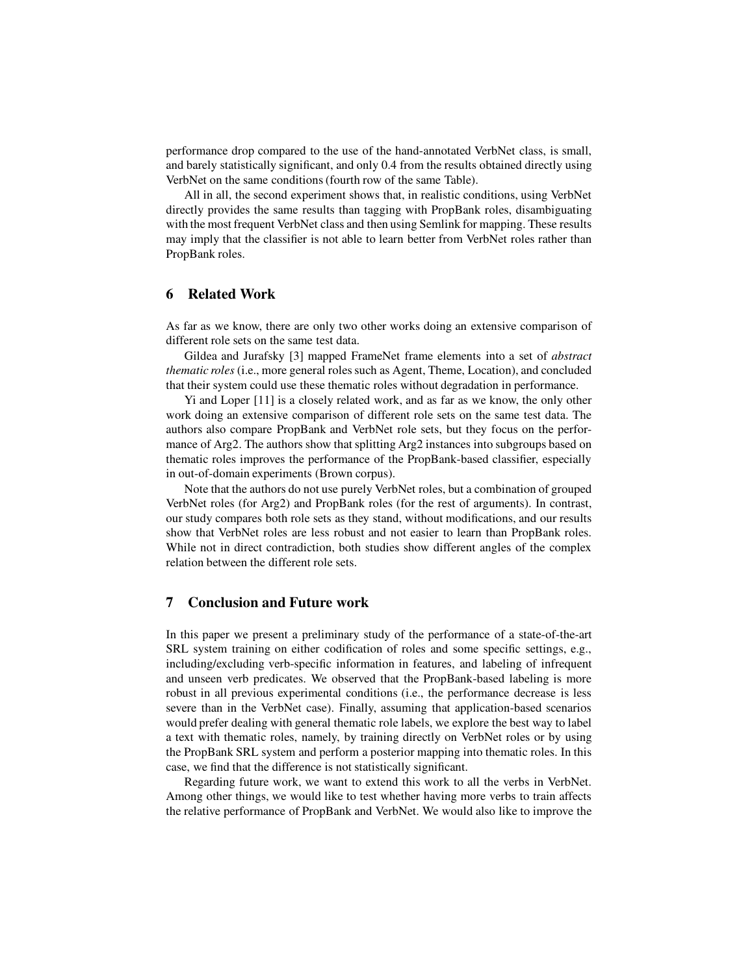performance drop compared to the use of the hand-annotated VerbNet class, is small, and barely statistically significant, and only 0.4 from the results obtained directly using VerbNet on the same conditions (fourth row of the same Table).

All in all, the second experiment shows that, in realistic conditions, using VerbNet directly provides the same results than tagging with PropBank roles, disambiguating with the most frequent VerbNet class and then using Semlink for mapping. These results may imply that the classifier is not able to learn better from VerbNet roles rather than PropBank roles.

## 6 Related Work

As far as we know, there are only two other works doing an extensive comparison of different role sets on the same test data.

Gildea and Jurafsky [3] mapped FrameNet frame elements into a set of *abstract* thematic roles (i.e., more general roles such as Agent, Theme, Location), and concluded that their system could use these thematic roles without degradation in performance.

Yi and Loper [11] is a closely related work, and as far as we know, the only other work doing an extensive comparison of different role sets on the same test data. The authors also compare PropBank and VerbNet role sets, but they focus on the performance of Arg2. The authors show that splitting Arg2 instances into subgroups based on thematic roles improves the performance of the PropBank-based classifier, especially in out-of-domain experiments (Brown corpus).

Note that the authors do not use purely VerbNet roles, but a combination of grouped VerbNet roles (for Arg2) and PropBank roles (for the rest of arguments). In contrast, our study compares both role sets as they stand, without modifications, and our results show that VerbNet roles are less robust and not easier to learn than PropBank roles. While not in direct contradiction, both studies show different angles of the complex relation between the different role sets.

# 7 Conclusion and Future work

In this paper we present a preliminary study of the performance of a state-of-the-art SRL system training on either codification of roles and some specific settings, e.g., including/excluding verb-specific information in features, and labeling of infrequent and unseen verb predicates. We observed that the PropBank-based labeling is more robust in all previous experimental conditions (i.e., the performance decrease is less severe than in the VerbNet case). Finally, assuming that application-based scenarios would prefer dealing with general thematic role labels, we explore the best way to label a text with thematic roles, namely, by training directly on VerbNet roles or by using the PropBank SRL system and perform a posterior mapping into thematic roles. In this case, we find that the difference is not statistically significant.

Regarding future work, we want to extend this work to all the verbs in VerbNet. Among other things, we would like to test whether having more verbs to train affects the relative performance of PropBank and VerbNet. We would also like to improve the